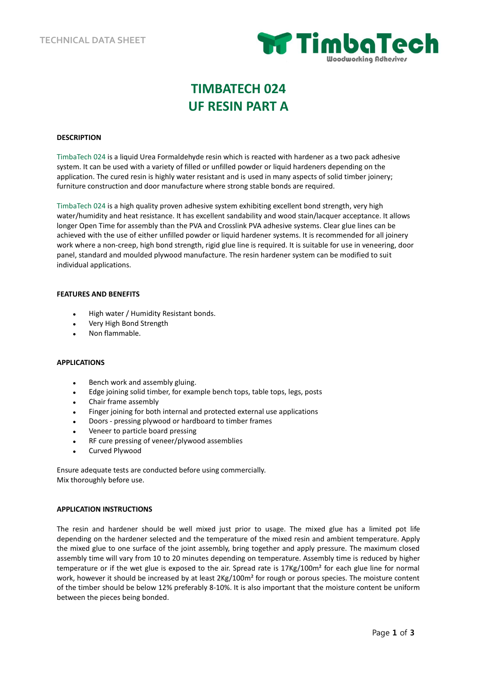

# **TIMBATECH 024 UF RESIN PART A**

### **DESCRIPTION**

TimbaTech 024 is a liquid Urea Formaldehyde resin which is reacted with hardener as a two pack adhesive system. It can be used with a variety of filled or unfilled powder or liquid hardeners depending on the application. The cured resin is highly water resistant and is used in many aspects of solid timber joinery; furniture construction and door manufacture where strong stable bonds are required.

TimbaTech 024 is a high quality proven adhesive system exhibiting excellent bond strength, very high water/humidity and heat resistance. It has excellent sandability and wood stain/lacquer acceptance. It allows longer Open Time for assembly than the PVA and Crosslink PVA adhesive systems. Clear glue lines can be achieved with the use of either unfilled powder or liquid hardener systems. It is recommended for all joinery work where a non-creep, high bond strength, rigid glue line is required. It is suitable for use in veneering, door panel, standard and moulded plywood manufacture. The resin hardener system can be modified to suit individual applications.

### **FEATURES AND BENEFITS**

- High water / Humidity Resistant bonds.
- Very High Bond Strength
- Non flammable.

# **APPLICATIONS**

- Bench work and assembly gluing.
- Edge joining solid timber, for example bench tops, table tops, legs, posts
- Chair frame assembly
- Finger joining for both internal and protected external use applications
- Doors pressing plywood or hardboard to timber frames
- Veneer to particle board pressing
- RF cure pressing of veneer/plywood assemblies
- Curved Plywood

Ensure adequate tests are conducted before using commercially. Mix thoroughly before use.

### **APPLICATION INSTRUCTIONS**

The resin and hardener should be well mixed just prior to usage. The mixed glue has a limited pot life depending on the hardener selected and the temperature of the mixed resin and ambient temperature. Apply the mixed glue to one surface of the joint assembly, bring together and apply pressure. The maximum closed assembly time will vary from 10 to 20 minutes depending on temperature. Assembly time is reduced by higher temperature or if the wet glue is exposed to the air. Spread rate is 17Kg/100m² for each glue line for normal work, however it should be increased by at least  $2Kg/100m^2$  for rough or porous species. The moisture content of the timber should be below 12% preferably 8-10%. It is also important that the moisture content be uniform between the pieces being bonded.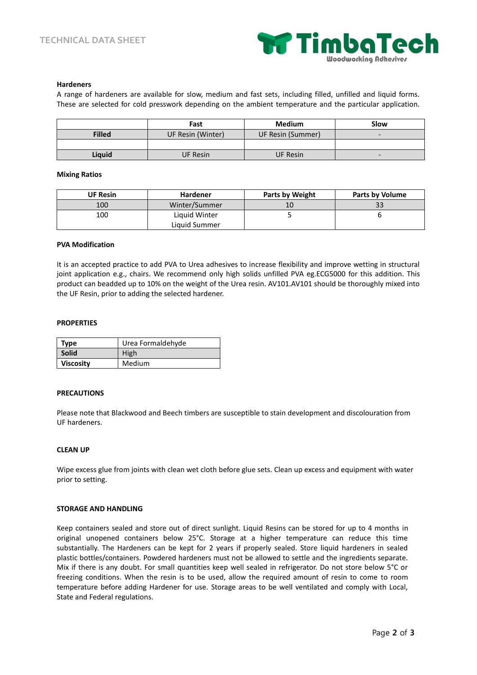

#### **Hardeners**

A range of hardeners are available for slow, medium and fast sets, including filled, unfilled and liquid forms. These are selected for cold presswork depending on the ambient temperature and the particular application.

|               | Fast              | <b>Medium</b>     | Slow                     |
|---------------|-------------------|-------------------|--------------------------|
| <b>Filled</b> | UF Resin (Winter) | UF Resin (Summer) | -                        |
|               |                   |                   |                          |
| Liguid        | <b>UF Resin</b>   | <b>UF Resin</b>   | $\overline{\phantom{0}}$ |

#### **Mixing Ratios**

| <b>UF Resin</b> | <b>Hardener</b> | <b>Parts by Weight</b> | <b>Parts by Volume</b> |
|-----------------|-----------------|------------------------|------------------------|
| 100             | Winter/Summer   | 10                     | 33                     |
| 100             | Liquid Winter   |                        |                        |
|                 | Liquid Summer   |                        |                        |

#### **PVA Modification**

It is an accepted practice to add PVA to Urea adhesives to increase flexibility and improve wetting in structural joint application e.g., chairs. We recommend only high solids unfilled PVA eg.ECG5000 for this addition. This product can beadded up to 10% on the weight of the Urea resin. AV101.AV101 should be thoroughly mixed into the UF Resin, prior to adding the selected hardener.

#### **PROPERTIES**

| Type             | Urea Formaldehyde |  |
|------------------|-------------------|--|
| <b>Solid</b>     | High              |  |
| <b>Viscosity</b> | Medium            |  |

#### **PRECAUTIONS**

Please note that Blackwood and Beech timbers are susceptible to stain development and discolouration from UF hardeners.

#### **CLEAN UP**

Wipe excess glue from joints with clean wet cloth before glue sets. Clean up excess and equipment with water prior to setting.

#### **STORAGE AND HANDLING**

Keep containers sealed and store out of direct sunlight. Liquid Resins can be stored for up to 4 months in original unopened containers below 25°C. Storage at a higher temperature can reduce this time substantially. The Hardeners can be kept for 2 years if properly sealed. Store liquid hardeners in sealed plastic bottles/containers. Powdered hardeners must not be allowed to settle and the ingredients separate. Mix if there is any doubt. For small quantities keep well sealed in refrigerator. Do not store below 5°C or freezing conditions. When the resin is to be used, allow the required amount of resin to come to room temperature before adding Hardener for use. Storage areas to be well ventilated and comply with Local, State and Federal regulations.